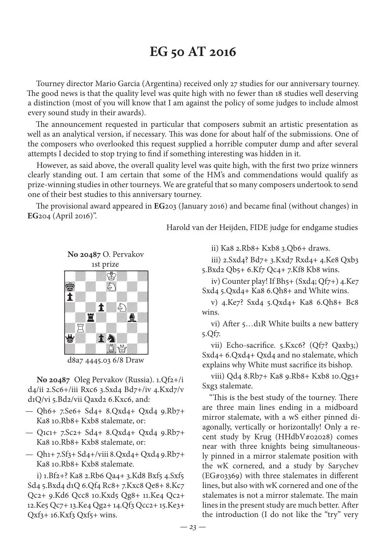# **EG 50 AT 2016**

Tourney director Mario Garcia (Argentina) received only 27 studies for our anniversary tourney. The good news is that the quality level was quite high with no fewer than 18 studies well deserving a distinction (most of you will know that I am against the policy of some judges to include almost every sound study in their awards).

The announcement requested in particular that composers submit an artistic presentation as well as an analytical version, if necessary. This was done for about half of the submissions. One of the composers who overlooked this request supplied a horrible computer dump and after several attempts I decided to stop trying to find if something interesting was hidden in it.

However, as said above, the overall quality level was quite high, with the first two prize winners clearly standing out. I am certain that some of the HM's and commendations would qualify as prize-winning studies in other tourneys. We are grateful that so many composers undertook to send one of their best studies to this anniversary tourney.

The provisional award appeared in **EG**203 (January 2016) and became final (without changes) in **EG**204 (April 2016)".

Harold van der Heijden, FIDE judge for endgame studies

**No 20487** O. Pervakov 1st prize



d8a7 4445.03 6/8 Draw

**No 20487** Oleg Pervakov (Russia). 1.Qf2+/i d4/ii 2.Sc6+/iii Rxc6 3.Sxd4 Bd7+/iv 4.Kxd7/v d1Q/vi 5.Bd2/vii Qaxd2 6.Kxc6, and:

- Qh6+ 7.Se6+ Sd4+ 8.Qxd4+ Qxd4 9.Rb7+ Ka8 10.Rb8+ Kxb8 stalemate, or:
- Q1c1+ 7.Sc2+ Sd4+ 8.Qxd4+ Qxd4 9.Rb7+ Ka8 10.Rb8+ Kxb8 stalemate, or:
- Qh1+ 7.Sf3+ Sd4+/viii 8.Qxd4+ Qxd4 9.Rb7+ Ka8 10.Rb8+ Kxb8 stalemate.

i) 1.Bf2+? Ka8 2.Rb6 Qa4+ 3.Kd8 Bxf5 4.Sxf5 Sd4 5.Bxd4 d1Q 6.Qf4 Rc8+ 7.Kxc8 Qe8+ 8.Kc7 Qc2+ 9.Kd6 Qcc8 10.Kxd5 Qg8+ 11.Ke4 Qc2+ 12.Ke5 Qc7+ 13.Ke4 Qg2+ 14.Qf3 Qcc2+ 15.Ke3+  $Qxf_3+16.Kxf_3 Qxf_5+ wins.$ 

ii) Ka8 2.Rb8+ Kxb8 3.Qb6+ draws.

iii) 2.Sxd4? Bd7+ 3.Kxd7 Rxd4+ 4.Ke8 Qxb3 5.Bxd2 Qb5+ 6.Kf7 Qc4+ 7.Kf8 Kb8 wins.

iv) Counter play! If Bh5+ (Sxd4; Qf7+) 4.Ke7 Sxd4 5.Qxd4+ Ka8 6.Qh8+ and White wins.

v) 4.Ke7? Sxd4 5.Qxd4+ Ka8 6.Qh8+ Bc8 wins.

vi) After 5…d1R White builts a new battery 5.Qf7.

vii) Echo-sacrifice. 5.Kxc6? (Qf7? Qaxb3;) Sxd4+ 6.Qxd4+ Qxd4 and no stalemate, which explains why White must sacrifice its bishop.

viii) Qd4 8.Rb7+ Ka8 9.Rb8+ Kxb8 10.Qg3+ Sxg3 stalemate.

"This is the best study of the tourney. There are three main lines ending in a midboard mirror stalemate, with a wS either pinned diagonally, vertically or horizontally! Only a recent study by Krug (HHdbV#02028) comes near with three knights being simultaneously pinned in a mirror stalemate position with the wK cornered, and a study by Sarychev (EG#03369) with three stalemates in different lines, but also with wK cornered and one of the stalemates is not a mirror stalemate. The main lines in the present study are much better. After the introduction (I do not like the "try" very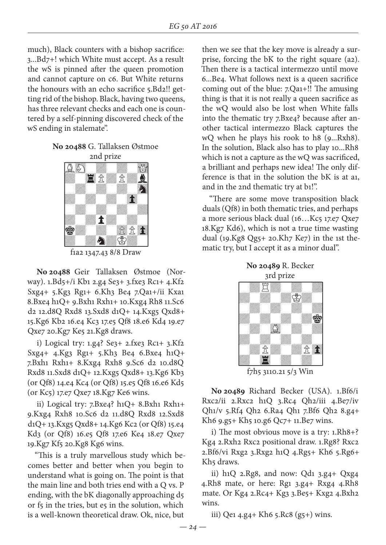much), Black counters with a bishop sacrifice: 3...Bd7+! which White must accept. As a result the wS is pinned after the queen promotion and cannot capture on c6. But White returns the honours with an echo sacrifice 5.Bd2!! getting rid of the bishop. Black, having two queens, has three relevant checks and each one is countered by a self-pinning discovered check of the wS ending in stalemate".

#### **No 20488** G. Tallaksen Østmoe 2nd prize



**No 20488** Geir Tallaksen Østmoe (Norway). 1.Bd5+/i Kb1 2.g4 Se3+ 3.fxe3 Rc1+ 4.Kf2 Sxg4+ 5.Kg3 Rg1+ 6.Kh3 Be4 7.Qa1+/ii Kxa1 8.Bxe4 h1Q+ 9.Bxh1 Rxh1+ 10.Kxg4 Rh8 11.Sc6 d2 12.d8Q Rxd8 13.Sxd8 d1Q+ 14.Kxg5 Qxd8+ 15.Kg6 Kb2 16.e4 Kc3 17.e5 Qf8 18.e6 Kd4 19.e7 Qxe7 20.Kg7 Ke5 21.Kg8 draws.

i) Logical try: 1.g4? Se3+ 2.fxe3 Rc1+ 3.Kf2 Sxg4+ 4.Kg3 Rg1+ 5.Kh3 Be4 6.Bxe4 h1Q+ 7.Bxh1 Rxh1+ 8.Kxg4 Rxh8 9.Sc6 d2 10.d8Q Rxd8 11.Sxd8 d1Q+ 12.Kxg5 Qxd8+ 13.Kg6 Kb3 (or Qf8) 14.e4 Kc4 (or Qf8) 15.e5 Qf8 16.e6 Kd5 (or Kc5) 17.e7 Qxe7 18.Kg7 Ke6 wins.

ii) Logical try: 7.Bxe4? h1Q+ 8.Bxh1 Rxh1+ 9.Kxg4 Rxh8 10.Sc6 d2 11.d8Q Rxd8 12.Sxd8 d1Q+ 13.Kxg5 Qxd8+ 14.Kg6 Kc2 (or Qf8) 15.e4 Kd3 (or Qf8) 16.e5 Qf8 17.e6 Ke4 18.e7 Qxe7 19.Kg7 Kf5 20.Kg8 Kg6 wins.

"This is a truly marvellous study which becomes better and better when you begin to understand what is going on. The point is that the main line and both tries end with a Q vs. P ending, with the bK diagonally approaching d5 or f5 in the tries, but e5 in the solution, which is a well-known theoretical draw. Ok, nice, but

then we see that the key move is already a surprise, forcing the bK to the right square (a2). Then there is a tactical intermezzo until move 6...Be4. What follows next is a queen sacrifice coming out of the blue: 7.Qa1+!! The amusing thing is that it is not really a queen sacrifice as the wQ would also be lost when White falls into the thematic try 7.Bxe4? because after another tactical intermezzo Black captures the wQ when he plays his rook to h8 (9...Rxh8). In the solution, Black also has to play 10...Rh8 which is not a capture as the wQ was sacrificed, a brilliant and perhaps new idea! The only difference is that in the solution the bK is at a1, and in the 2nd thematic try at b1!".

"There are some move transposition black duals (Qf8) in both thematic tries, and perhaps a more serious black dual (16...Kc5 17.e7 Qxe7 18.Kg7 Kd6), which is not a true time wasting dual (19.Kg8 Qg5+ 20.Kh7 Ke7) in the 1st thematic try, but I accept it as a minor dual".



f7h5 3110.21 5/3 Win

**No 20489** Richard Becker (USA). 1.Bf6/i Rxc2/ii 2.Rxc2 h1Q 3.Rc4 Qh2/iii 4.Be7/iv Qh1/v 5.Rf4 Qh2 6.Ra4 Qh1 7.Bf6 Qh2 8.g4+ Kh6 9.g5+ Kh5 10.g6 Qc7+ 11.Be7 wins.

i) The most obvious move is a try: 1.Rh8+? Kg4 2.Rxh2 Rxc2 positional draw. 1.Rg8? Rxc2 2.Bf6/vi Rxg2 3.Rxg2 h1Q 4.Rg5+ Kh6 5.Rg6+ Kh<sub>5</sub> draws.

ii) h1Q 2.Rg8, and now: Qd1 3.g4+ Qxg4 4.Rh8 mate, or here: Rg1 3.g4+ Rxg4 4.Rh8 mate. Or Kg4 2.Rc4+ Kg3 3.Be5+ Kxg2 4.Bxh2 wins.

iii) Qe1 4.g4+ Kh6 5.Rc8 (g5+) wins.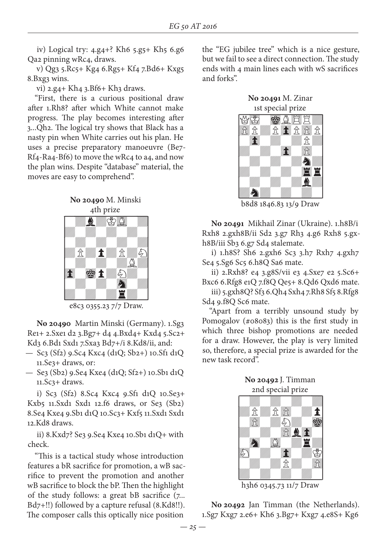iv) Logical try: 4.g4+? Kh6 5.g5+ Kh5 6.g6 Qa2 pinning wRc4, draws.

v) Qg3 5.Rc5+ Kg4 6.Rg5+ Kf4 7.Bd6+ Kxg5 8.Bxg3 wins.

vi) 2.g4+ Kh4 3.Bf6+ Kh3 draws.

"First, there is a curious positional draw after 1.Rh8? after which White cannot make progress. The play becomes interesting after 3...Qh2. The logical try shows that Black has a nasty pin when White carries out his plan. He uses a precise preparatory manoeuvre (Be7- Rf4-Ra4-Bf6) to move the wRc4 to a4, and now the plan wins. Despite "database" material, the moves are easy to comprehend".





e8c3 0355.23 7/7 Draw.

**No 20490** Martin Minski (Germany). 1.Sg3 Re1+ 2.Sxe1 d2 3.Bg7+ d4 4.Bxd4+ Kxd4 5.Sc2+ Kd3 6.Bd1 Sxd1 7.Sxa3 Bd7+/i 8.Kd8/ii, and:

- Sc3 (Sf2) 9.Sc4 Kxc4 (d1Q; Sb2+) 10.Sf1 d1Q 11.Se3+ draws, or:
- Se3 (Sb2) 9.Se4 Kxe4 (d1Q; Sf2+) 10.Sb1 d1Q 11.Sc3+ draws.

i) Sc3 (Sf2) 8.Sc4 Kxc4 9.Sf1 d1Q 10.Se3+ Kxb5 11.Sxd1 Sxd1 12.f6 draws, or Se3 (Sb2) 8.Se4 Kxe4 9.Sb1 d1Q 10.Sc3+ Kxf5 11.Sxd1 Sxd1 12.Kd8 draws.

ii) 8.Kxd7? Se3 9.Se4 Kxe4 10.Sb1 d1Q+ with check.

"This is a tactical study whose introduction features a bR sacrifice for promotion, a wB sacrifice to prevent the promotion and another wB sacrifice to block the bP. Then the highlight of the study follows: a great bB sacrifice (7... Bd7+!!) followed by a capture refusal (8.Kd8!!). The composer calls this optically nice position

the "EG jubilee tree" which is a nice gesture, but we fail to see a direct connection. The study ends with 4 main lines each with wS sacrifices and forks".

**No 20491** M. Zinar 1st special prize



**No 20491** Mikhail Zinar (Ukraine). 1.h8B/i Rxh8 2.gxh8B/ii Sd2 3.g7 Rh3 4.g6 Rxh8 5.gxh8B/iii Sb3 6.g7 Sd4 stalemate.

i) 1.h8S? Sh6 2.gxh6 Sc3 3.h7 Rxh7 4.gxh7 Se4 5.Sg6 Sc5 6.h8Q Sa6 mate.

ii) 2.Rxh8? e4 3.g8S/vii e3 4.Sxe7 e2 5.Sc6+ Bxc6 6.Rfg8 e1Q 7.f8Q Qe5+ 8.Qd6 Qxd6 mate.

iii) 5.gxh8Q? Sf3 6.Qh4 Sxh4 7.Rh8 Sf5 8.Rfg8 Sd4 9.f8Q Sc6 mate.

"Apart from a terribly unsound study by Pomogalov (#08083) this is the first study in which three bishop promotions are needed for a draw. However, the play is very limited so, therefore, a special prize is awarded for the new task record".

**No 20492** J. Timman 2nd special prize



h3h6 0345.73 11/7 Draw

**No 20492** Jan Timman (the Netherlands). 1.Sg7 Kxg7 2.e6+ Kh6 3.Bg7+ Kxg7 4.e8S+ Kg6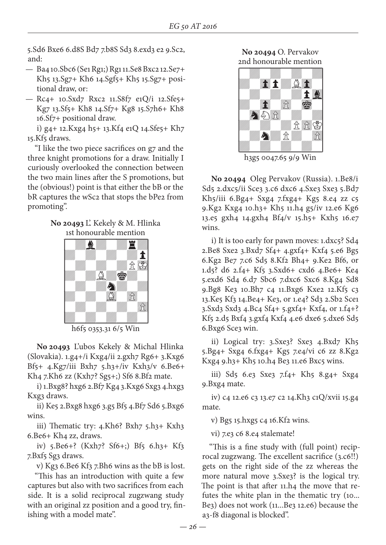5.Sd6 Bxe6 6.d8S Bd7 7.b8S Sd3 8.exd3 e2 9.Sc2, and:

- Ba4 10.Sbc6 (Se1 Rg1;) Rg1 11.Se8 Bxc2 12.Se7+ Kh5 13.Sg7+ Kh6 14.Sgf5+ Kh5 15.Sg7+ positional draw, or:
- Rc4+ 10.Sxd7 Rxc2 11.S8f7 e1Q/i 12.Sfe5+ Kg7 13.Sf5+ Kh8 14.Sf7+ Kg8 15.S7h6+ Kh8 16.Sf7+ positional draw.

i) g4+ 12.Kxg4 h5+ 13.Kf4 e1Q 14.Sfe5+ Kh7 15.Kf5 draws.

"I like the two piece sacrifices on g7 and the three knight promotions for a draw. Initially I curiously overlooked the connection between the two main lines after the S promotions, but the (obvious!) point is that either the bB or the bR captures the wSc2 that stops the bPe2 from promoting".

## **No 20493** L'. Kekely & M. Hlinka 1st honourable mention



h6f5 0353.31 6/5 Win

**No 20493** L'ubos Kekely & Michal Hlinka (Slovakia). 1.g4+/i Kxg4/ii 2.gxh7 Rg6+ 3.Kxg6 Bf5+ 4.Kg7/iii Bxh7 5.h3+/iv Kxh3/v 6.Be6+ Kh<sub>4</sub> 7.Kh<sub>6</sub> zz (Kxh<sub>7</sub>? Sg<sub>5+;</sub>) Sf6 8.Bf<sub>2</sub> mate.

i) 1.Bxg8? hxg6 2.Bf7 Kg4 3.Kxg6 Sxg3 4.hxg3 Kxg3 draws.

ii) Ke5 2.Bxg8 hxg6 3.g5 Bf5 4.Bf7 Sd6 5.Bxg6 wins.

iii) Thematic try: 4.Kh6? Bxh7 5.h3+ Kxh3 6.Be6+ Kh4 zz, draws.

iv) 5.Be6+? (Kxh7? Sf6+;) Bf5 6.h3+ Kf3 7.Bxf5 Sg3 draws.

v) Kg3 6.Be6 Kf3 7.Bh6 wins as the bB is lost.

"This has an introduction with quite a few captures but also with two sacrifices from each side. It is a solid reciprocal zugzwang study with an original zz position and a good try, finishing with a model mate".

**No 20494** O. Pervakov 2nd honourable mention



h3g5 0047.65 9/9 Win

**No 20494** Oleg Pervakov (Russia). 1.Be8/i Sd5 2.dxc5/ii Sce3 3.c6 dxc6 4.Sxe3 Sxe3 5.Bd7 Kh5/iii 6.Bg4+ Sxg4 7.fxg4+ Kg5 8.e4 zz c5 9.Kg2 Kxg4 10.h3+ Kh5 11.h4 g5/iv 12.e6 Kg6 13.e5 gxh4 14.gxh4 Bf4/v 15.h5+ Kxh5 16.e7 wins.

i) It is too early for pawn moves: 1.dxc5? Sd4 2.Be8 Sxe2 3.Bxd7 Sf4+ 4.gxf4+ Kxf4 5.e6 Bg5 6.Kg2 Be7 7.c6 Sd5 8.Kf2 Bh4+ 9.Ke2 Bf6, or 1.d5? d6 2.f4+ Kf5 3.Sxd6+ cxd6 4.Be6+ Ke4 5.exd6 Sd4 6.d7 Sbc6 7.dxc6 Sxc6 8.Kg4 Sd8 9.Bg8 Ke3 10.Bh7 c4 11.Bxg6 Kxe2 12.Kf5 c3 13.Ke5 Kf3 14.Be4+ Ke3, or 1.e4? Sd3 2.Sb2 Sce1 3.Sxd3 Sxd3 4.Bc4 Sf4+ 5.gxf4+ Kxf4, or 1.f4+? Kf5 2.d5 Bxf4 3.gxf4 Kxf4 4.e6 dxe6 5.dxe6 Sd5 6.Bxg6 Sce3 win.

ii) Logical try: 3.Sxe3? Sxe3 4.Bxd7 Kh5 5.Bg4+ Sxg4 6.fxg4+ Kg5 7.e4/vi c6 zz 8.Kg2 Kxg4 9.h3+ Kh5 10.h4 Be3 11.e6 Bxc5 wins.

iii) Sd5 6.e3 Sxe3 7.f4+ Kh5 8.g4+ Sxg4 9.Bxg4 mate.

iv) c4 12.e6 c3 13.e7 c2 14.Kh3 c1Q/xvii 15.g4 mate.

v) Bg5 15.hxg5 c4 16.Kf2 wins.

vi) 7.e3 c6 8.e4 stalemate!

"This is a fine study with (full point) reciprocal zugzwang. The excellent sacrifice (3.c6!!) gets on the right side of the zz whereas the more natural move 3.Sxe3? is the logical try. The point is that after 11.h4 the move that refutes the white plan in the thematic try (10... Be3) does not work (11...Be3 12.e6) because the a3-f8 diagonal is blocked".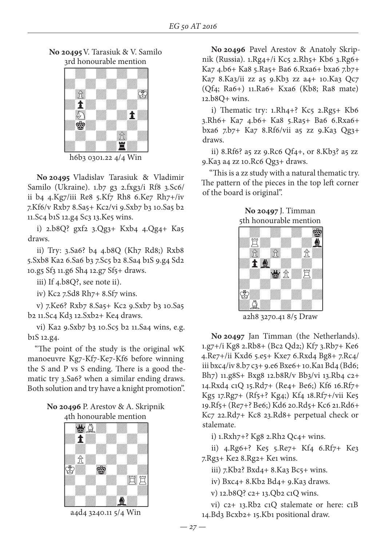**No 20495** V. Tarasiuk & V. Samilo ard honourable mention



 $h6b3$  0301.22 4/4 Win

**No 20495** Vladislav Tarasiuk & Vladimir Samilo (Ukraine). 1.b7 g3 2.fxg3/i Rf8 3.Sc6/ ii b4 4.Kg7/iii Re8 5.Kf7 Rh8 6.Ke7 Rh7+/iv 7.Kf6/v Rxb7 8.Sa5+ Kc2/vi 9.Sxb7 b3 10.Sa5 b2 11.Sc4 b1S 12.g4 Sc3 13.Ke5 wins.

i) 2.b8Q? gxf2 3.Qg3+ Kxb4 4.Qg4+ Ka5 draws.

ii) Try: 3.Sa6? b4 4.b8Q (Kh7 Rd8;) Rxb8 5.Sxb8 Ka2 6.Sa6 b3 7.Sc5 b2 8.Sa4 b1S 9.g4 Sd2 10.g5 Sf3 11.g6 Sh4 12.g7 Sf5+ draws.

iii) If 4.b8Q?, see note ii).

iv) Kc2 7.Sd8 Rh7+ 8.Sf7 wins.

v) 7.Ke6? Rxb7 8.Sa5+ Kc2 9.Sxb7 b3 10.Sa5 b2 11.Sc4 Kd3 12.Sxb2+ Ke4 draws.

vi) Ka2 9.Sxb7 b3 10.Sc5 b2 11.Sa4 wins, e.g. b1S 12.g4.

"The point of the study is the original wK manoeuvre Kg7-Kf7-Ke7-Kf6 before winning the S and P vs S ending. There is a good thematic try 3.Sa6? when a similar ending draws. Both solution and try have a knight promotion".

### **No 20496** P. Arestov & A. Skripnik 4th honourable mention



a4d4 3240.11 5/4 Win

**No 20496** Pavel Arestov & Anatoly Skripnik (Russia). 1.Rg4+/i Kc5 2.Rh5+ Kb6 3.Rg6+ Ka7 4.b6+ Ka8 5.Ra5+ Ba6 6.Rxa6+ bxa6 7.b7+ Ka7 8.Ka3/ii zz a5 9.Kb3 zz a4+ 10.Ka3 Qc7 (Qf4; Ra6+) 11.Ra6+ Kxa6 (Kb8; Ra8 mate) 12.b8Q+ wins.

i) Thematic try:  $1.Rh4+?$  Kc $5$   $2.Rg5+Kb6$ 3.Rh6+ Ka7 4.b6+ Ka8 5.Ra5+ Ba6 6.Rxa6+ bxa6 7.b7+ Ka7 8.Rf6/vii a5 zz 9.Ka3 Qg3+ draws.

ii) 8.Rf6? a5 zz 9.Rc6 Qf4+, or 8.Kb3? a5 zz 9.Ka3 a4 zz 10.Rc6 Qg3+ draws.

"This is a zz study with a natural thematic try. The pattern of the pieces in the top left corner of the board is original".

**No 20497** J. Timman 5th honourable mention



**No 20497** Jan Timman (the Netherlands). 1.g7+/i Kg8 2.Rb8+ (Bc2 Qd2;) Kf7 3.Rb7+ Ke6 4.Re7+/ii Kxd6 5.e5+ Kxe7 6.Rxd4 Bg8+ 7.Rc4/ iii bxc4/iv 8.b7 c3+ 9.e6 Bxe6+ 10.Ka1 Bd4 (Bd6; Bh7) 11.g8S+ Bxg8 12.b8R/v Bb3/vi 13.Rb4 c2+ 14.Rxd4 c1Q 15.Rd7+ (Re4+ Be6;) Kf6 16.Rf7+ Kg5 17.Rg7+ (Rf5+? Kg4;) Kf4 18.Rf7+/vii Ke5 19.Rf5+ (Re7+? Be6;) Kd6 20.Rd5+ Kc6 21.Rd6+ Kc7 22.Rd7+ Kc8 23.Rd8+ perpetual check or stalemate.

i) 1.Rxh7+? Kg8 2.Rh2 Qc4+ wins.

ii) 4.Rg6+? Ke5 5.Re7+ Kf4 6.Rf7+ Ke3 7.Rg3+ Ke2 8.Rg2+ Ke1 wins.

iii) 7.Kb2? Bxd4+ 8.Ka3 Bc5+ wins.

iv) Bxc4+ 8.Kb2 Bd4+ 9.Ka3 draws.

v) 12.b8Q? c2+ 13.Qb2 c1Q wins.

vi) c2+ 13.Rb2 c1Q stalemate or here: c1B 14.Bd3 Bcxb2+ 15.Kb1 positional draw.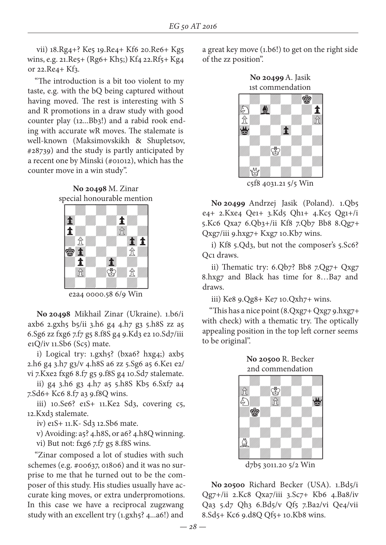vii) 18.Rg4+? Ke5 19.Re4+ Kf6 20.Re6+ Kg5 wins, e.g. 21.Re5+ (Rg6+ Kh5;) Kf4 22.Rf5+ Kg4 or 22.Re4+ Kf3.

"The introduction is a bit too violent to my taste, e.g. with the bQ being captured without having moved. The rest is interesting with S and R promotions in a draw study with good counter play (12...Bb3!) and a rabid rook ending with accurate wR moves. The stalemate is well-known (Maksimovskikh & Shupletsov, #28739) and the study is partly anticipated by a recent one by Minski (#01012), which has the counter move in a win study".

**No 20498** M. Zinar special honourable mention



e2a4 0000.58 6/9 Win

**No 20498** Mikhail Zinar (Ukraine). 1.b6/i axb6 2.gxh5 b5/ii 3.h6 g4 4.h7 g3 5.h8S zz a5 6.Sg6 zz fxg6 7.f7 g5 8.f8S g4 9.Kd3 e2 10.Sd7/iii e1Q/iv  $11.$ Sb6 (Sc5) mate.

i) Logical try: 1.gxh5? (bxa6? hxg4;) axb5 2.h6 g4 3.h7 g3/v 4.h8S a6 zz 5.Sg6 a5 6.Ke1 e2/ vi 7.Kxe2 fxg6 8.f7 g5 9.f8S g4 10.Sd7 stalemate.

ii) g4 3.h6 g3 4.h7 a5 5.h8S Kb5 6.Sxf7 a4 7.Sd6+ Kc6 8.f7 a3 9.f8Q wins.

iii) 10.Se6? e1S+ 11.Ke2 Sd3, covering c5, 12.Kxd3 stalemate.

iv) e1S+ 11.K- Sd3 12.Sb6 mate.

v) Avoiding: a5? 4.h8S, or a6? 4.h8Q winning.

vi) But not: fxg6 7.f7 g5 8.f8S wins.

"Zinar composed a lot of studies with such schemes (e.g. #00637, 01806) and it was no surprise to me that he turned out to be the composer of this study. His studies usually have accurate king moves, or extra underpromotions. In this case we have a reciprocal zugzwang study with an excellent try (1.gxh5? 4...a6!) and

a great key move (1.b6!) to get on the right side of the zz position".





**No 20499** Andrzej Jasik (Poland). 1.Qb5 e4+ 2.Kxe4 Qe1+ 3.Kd5 Qh1+ 4.Kc5 Qg1+/i 5.Kc6 Qxa7 6.Qb3+/ii Kf8 7.Qb7 Bb8 8.Qg7+ Qxg7/iii 9.hxg7+ Kxg7 10.Kb7 wins.

i) Kf8 5.Qd3, but not the composer's 5.Sc6? Qc1 draws.

ii) Thematic try: 6.Qb7? Bb8 7.Qg7+ Qxg7 8.hxg7 and Black has time for 8…Ba7 and draws.

iii) Ke8 9.Qg8+ Ke7 10.Qxh7+ wins.

"This has a nice point (8.Qxg7+ Qxg7 9.hxg7+ with check) with a thematic try. The optically appealing position in the top left corner seems to be original".



**No 20500** Richard Becker (USA). 1.Bd5/i Qg7+/ii 2.Kc8 Qxa7/iii 3.Sc7+ Kb6 4.Ba8/iv Qa3 5.d7 Qh3 6.Bd5/v Qf5 7.Ba2/vi Qe4/vii 8.Sd5+ Kc6 9.d8Q Qf5+ 10.Kb8 wins.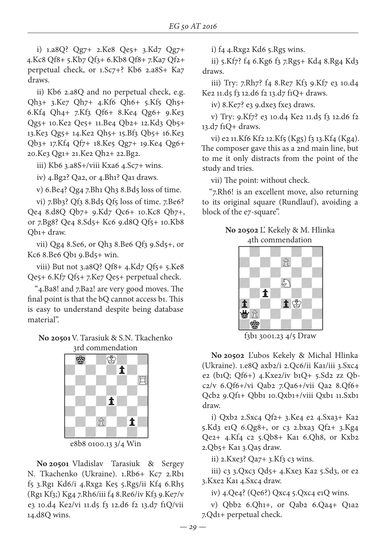i) 1.a8Q? Qg7+ 2.Ke8 Qe5+ 3.Kd7 Qg7+ 4.Kc8 Qf8+ 5.Kb7 Qf3+ 6.Kb8 Qf8+ 7.Ka7 Qf2+ perpetual check, or 1.Sc7+? Kb6 2.a8S+ Ka7 draws.

ii) Kb6 2.a8Q and no perpetual check, e.g. Qh3+ 3.Ke7 Qh7+ 4.Kf6 Qh6+ 5.Kf5 Qh5+ 6.Kf4 Qh4+ 7.Kf3 Qf6+ 8.Ke4 Qg6+ 9.Ke3 Qg5+ 10.Ke2 Qe5+ 11.Be4 Qb2+ 12.Kd3 Qb5+ 13.Ke3 Qg5+ 14.Ke2 Qh5+ 15.Bf3 Qb5+ 16.Ke3 Qb3+ 17.Kf4 Qf7+ 18.Ke5 Qg7+ 19.Ke4 Qg6+ 20.Ke3 Qg1+ 21.Ke2 Qh2+ 22.Bg2.

iii) Kb6 3.a8S+/viii Kxa6 4.Sc7+ wins.

iv) 4.Bg2? Qa2, or 4.Bh1? Qa1 draws.

v) 6.Be4? Qg4 7.Bh1 Qh3 8.Bd5 loss of time.

vi) 7.Bb3? Qf3 8.Bd5 Qf5 loss of time. 7.Be6? Qe4 8.d8Q Qb7+ 9.Kd7 Qc6+ 10.Kc8 Qb7+, or 7.Bg8? Qe4 8.Sd5+ Kc6 9.d8Q Qf5+ 10.Kb8 Qb1+ draw.

vii) Qg4 8.Se6, or Qh3 8.Be6 Qf3 9.Sd5+, or Kc6 8.Be6 Qb1 9.Bd5+ win.

viii) But not 3.a8Q? Qf8+ 4.Kd7 Qf5+ 5.Ke8 Qe5+ 6.Kf7 Qf5+ 7.Ke7 Qe5+ perpetual check.

"4.Ba8! and 7.Ba2! are very good moves. The final point is that the bQ cannot access b1. This is easy to understand despite being database material".

**No 20501** V. Tarasiuk & S.N. Tkachenko 3rd commendation



e8b8 0100.13 3/4 Win

**No 20501** Vladislav Tarasiuk & Sergey N. Tkachenko (Ukraine). 1.Rb6+ Kc7 2.Rb1 f5 3.Rg1 Kd6/i 4.Rxg2 Ke5 5.Rg5/ii Kf4 6.Rh5 (Rg1 Kf3;) Kg4 7.Rh6/iii f4 8.Re6/iv Kf3 9.Ke7/v e3 10.d4 Ke2/vi 11.d5 f3 12.d6 f2 13.d7 f1Q/vii 14.d8Q wins.

i) f4 4.Rxg2 Kd6 5.Rg5 wins.

ii) 5.Kf7? f4 6.Kg6 f3 7.Rg5+ Kd4 8.Rg4 Kd3 draws.

iii) Try: 7.Rh7? f4 8.Re7 Kf3 9.Kf7 e3 10.d4 Ke2 11.d5 f3 12.d6 f2 13.d7 f1Q+ draws.

iv) 8.Ke7? e3 9.dxe3 fxe3 draws.

v) Try: 9.Kf7? e3 10.d4 Ke2 11.d5 f3 12.d6 f2 13.d7 f1Q+ draws.

vi) e2 11.Kf6 Kf2 12.Kf5 (Kg5) f3 13.Kf4 (Kg4). The composer gave this as a 2nd main line, but to me it only distracts from the point of the study and tries.

vii) The point: without check.

"7.Rh6! is an excellent move, also returning to its original square (Rundlauf), avoiding a block of the e7-square".

**No 20502** L'. Kekely & M. Hlinka 4th commendation



**No 20502** L'ubos Kekely & Michal Hlinka (Ukraine). 1.e8Q axb2/i 2.Qc6/ii Ka1/iii 3.Sxc4 e2 (b1Q; Qf6+) 4.Kxe2/iv b1Q+ 5.Sd2 zz Qbc2/v 6.Qf6+/vi Qab2 7.Qa6+/vii Qa2 8.Qf6+ Qcb2 9.Qf1+ Qbb1 10.Qxb1+/viii Qxb1 11.Sxb1 draw.

i) Qxb2 2.Sxc4 Qf2+ 3.Ke4 e2 4.Sxa3+ Ka2 5.Kd3 e1Q 6.Qg8+, or c3 2.bxa3 Qf2+ 3.Kg4 Qe2+ 4.Kf4 c2 5.Qb8+ Ka1 6.Qh8, or Kxb2 2.Qb5+ Ka1 3.Qa5 draw.

ii)  $2.Kxe3? Qa7+3.Kf3 c3 wins.$ 

iii) c3 3.Qxc3 Qd5+ 4.Kxe3 Ka2 5.Sd3, or e2 3.Kxe2 Ka1 4.Sxc4 draw.

iv) 4.Qe4? (Qe6?) Qxc4 5.Qxc4 e1Q wins.

v) Qbb2 6.Qh1+, or Qab2 6.Qa4+ Q1a2 7.Qd1+ perpetual check.